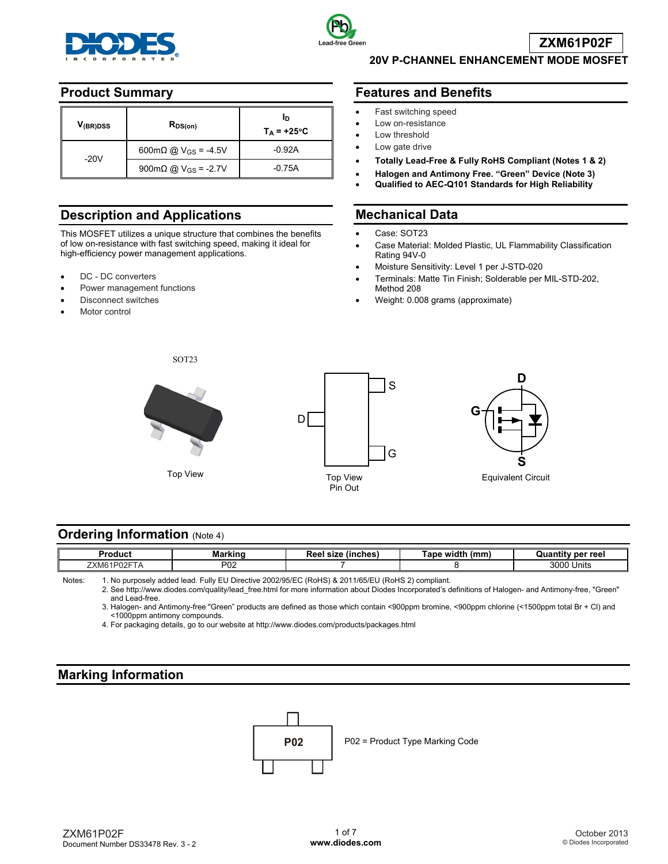



**20V P-CHANNEL ENHANCEMENT MODE MOSFET** 

#### **Product Summary**

| V <sub>(BR)DSS</sub> | $R_{DS(on)}$                                                  | ID<br>$T_A$ = +25°C |  |
|----------------------|---------------------------------------------------------------|---------------------|--|
|                      | $600 \text{m}\Omega \text{ @ } V_{\text{GS}} = -4.5 \text{V}$ | $-0.92A$            |  |
| $-20V$               | 900mΩ @ $V_{GS}$ = -2.7V                                      | $-0.75A$            |  |

## **Description and Applications**

This MOSFET utilizes a unique structure that combines the benefits of low on-resistance with fast switching speed, making it ideal for high-efficiency power management applications.

- DC DC converters
- Power management functions
- Disconnect switches
- Motor control

#### **Features and Benefits**

- Fast switching speed
- Low on-resistance
- Low threshold
- Low gate drive
- **Totally Lead-Free & Fully RoHS Compliant (Notes 1 & 2)**
- **Halogen and Antimony Free. "Green" Device (Note 3)**
- **Qualified to AEC-Q101 Standards for High Reliability**

#### **Mechanical Data**

- Case: SOT23
- Case Material: Molded Plastic, UL Flammability Classification Rating 94V-0
- Moisture Sensitivity: Level 1 per J-STD-020
- Terminals: Matte Tin Finish; Solderable per MIL-STD-202, Method 208
- Weight: 0.008 grams (approximate)



SOT23





#### **Ordering Information (Note 4)**

| Produci              | Markino    | <br>(inches)<br>ு உ<br>size<br>ree | .<br>lmm<br>width<br><b>Tane</b><br>w.<br>ш.<br>,,,,,,, | per reel<br>υu        |
|----------------------|------------|------------------------------------|---------------------------------------------------------|-----------------------|
| DOOET.<br>711<br>XM6 | מחם<br>ັບ∠ |                                    |                                                         | 2000<br>Units<br>งบบบ |

Notes: 1. No purposely added lead. Fully EU Directive 2002/95/EC (RoHS) & 2011/65/EU (RoHS 2) compliant.

 2. See [http://www.diodes.com/quality/lead\\_free.html fo](http://www.diodes.com/quality/lead_free.html)r more information about Diodes Incorporated's definitions of Halogen- and Antimony-free, "Green" and Lead-free.

3. Halogen- and Antimony-free "Green" products are defined as those which contain <900ppm bromine, <900ppm chlorine (<1500ppm total Br + Cl) and <1000ppm antimony compounds.

4. For packaging details, go to our website at <http://www.diodes.com/products/packages.html>

#### **Marking Information**

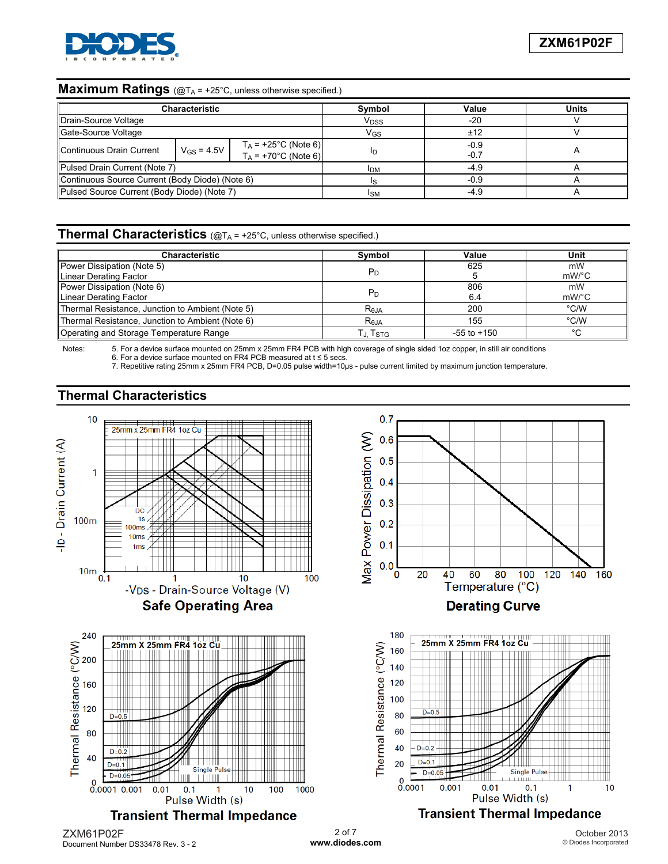

## **Maximum Ratings** (@TA = +25°C, unless otherwise specified.)

| <b>Characteristic</b>                           |                          |                                                  | Symbol           | Value          | Units |
|-------------------------------------------------|--------------------------|--------------------------------------------------|------------------|----------------|-------|
| Drain-Source Voltage                            |                          |                                                  | V <sub>DSS</sub> | -20            |       |
| Gate-Source Voltage                             |                          |                                                  | V <sub>GS</sub>  | ±12            |       |
| Continuous Drain Current                        | $V$ <sub>GS</sub> = 4.5V | $T_A$ = +25°C (Note 6)<br>$T_A$ = +70°C (Note 6) |                  | $-0.9$<br>-0.7 |       |
| Pulsed Drain Current (Note 7)                   |                          |                                                  | <b>IDM</b>       | -4.9           |       |
| Continuous Source Current (Body Diode) (Note 6) |                          |                                                  |                  | $-0.9$         |       |
| Pulsed Source Current (Body Diode) (Note 7)     |                          |                                                  | <b>ISM</b>       | -4.9           |       |

#### **Thermal Characteristics** (@T<sub>A</sub> = +25°C, unless otherwise specified.)

| Characteristic                                   | Symbol           | Value           | Unit                  |
|--------------------------------------------------|------------------|-----------------|-----------------------|
| Power Dissipation (Note 5)                       |                  | 625             | mW                    |
| Linear Derating Factor                           | P <sub>D</sub>   |                 | $mW$ <sup>o</sup> $C$ |
| Power Dissipation (Note 6)                       |                  | 806             | mW                    |
| Linear Derating Factor                           | P <sub>D</sub>   | 6.4             | $mW$ <sup>o</sup> $C$ |
| Thermal Resistance, Junction to Ambient (Note 5) | $R_{0,IA}$       | 200             | °C/W                  |
| Thermal Resistance, Junction to Ambient (Note 6) | R <sub>eja</sub> | 155             | °C/W                  |
| Operating and Storage Temperature Range          | Г.ı. Tsтg.       | $-55$ to $+150$ | °C                    |

Notes: 5. For a device surface mounted on 25mm x 25mm FR4 PCB with high coverage of single sided 1oz copper, in still air conditions 6. For a device surface mounted on FR4 PCB measured at t ≤ 5 secs.

7. Repetitive rating 25mm x 25mm FR4 PCB, D=0.05 pulse width=10μs - pulse current limited by maximum junction temperature.

#### **Thermal Characteristics**



ZXM61P02F Document Number DS33478 Rev. 3 - 2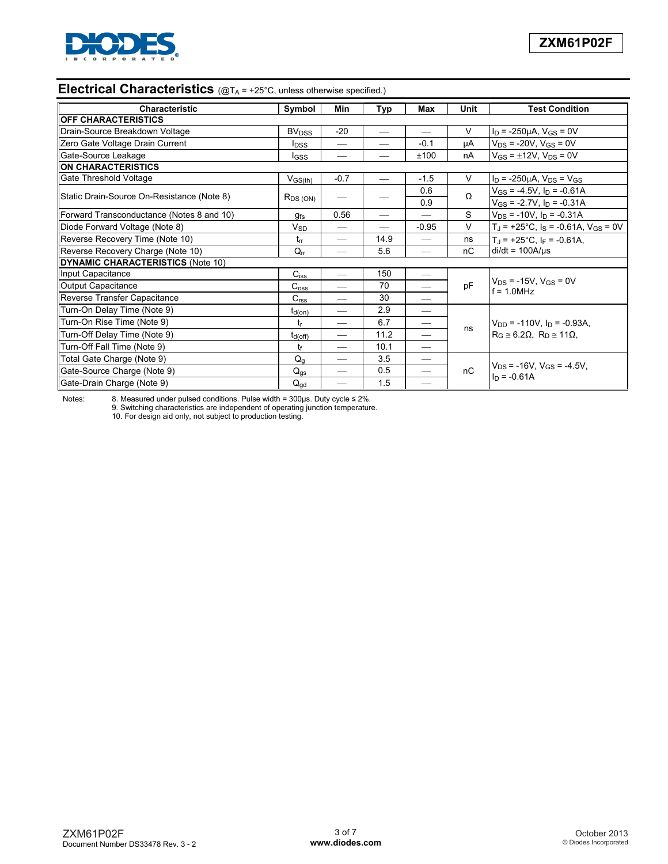

# **Electrical Characteristics** (@T<sub>A</sub> = +25°C, unless otherwise specified.)

| <b>Characteristic</b>                      | Symbol                     | Min                      | Typ           | Max                           | Unit   | <b>Test Condition</b>                                                                   |
|--------------------------------------------|----------------------------|--------------------------|---------------|-------------------------------|--------|-----------------------------------------------------------------------------------------|
| <b>OFF CHARACTERISTICS</b>                 |                            |                          |               |                               |        |                                                                                         |
| Drain-Source Breakdown Voltage             | <b>BV</b> <sub>DSS</sub>   | $-20$                    | $\frac{1}{2}$ | $\overbrace{\phantom{aaaaa}}$ | $\vee$ | $I_D$ = -250µA, $V_{GS}$ = 0V                                                           |
| Zero Gate Voltage Drain Current            | <b>I</b> <sub>DSS</sub>    | $\overline{\phantom{0}}$ |               | $-0.1$                        | μA     | $V_{DS}$ = -20V, $V_{GS}$ = 0V                                                          |
| Gate-Source Leakage                        | I <sub>GSS</sub>           |                          |               | ±100                          | nA     | $V_{GS} = \pm 12V$ , $V_{DS} = 0V$                                                      |
| ON CHARACTERISTICS                         |                            |                          |               |                               |        |                                                                                         |
| Gate Threshold Voltage                     | $V_{GS(th)}$               | $-0.7$                   |               | $-1.5$                        | $\vee$ | $I_D$ = -250µA, $V_{DS}$ = $V_{GS}$                                                     |
|                                            |                            |                          |               | 0.6                           | Ω      | $V_{GS}$ = -4.5V, $I_D$ = -0.61A                                                        |
| Static Drain-Source On-Resistance (Note 8) | $R_{DS(ON)}$               |                          |               | 0.9                           |        | $V_{GS}$ = -2.7V, $I_D$ = -0.31A                                                        |
| Forward Transconductance (Notes 8 and 10)  | $g_{\mathsf{fs}}$          | 0.56                     |               |                               | S      | $V_{DS}$ = -10V, $I_D$ = -0.31A                                                         |
| Diode Forward Voltage (Note 8)             | $\mathsf{V}_{\mathsf{SD}}$ |                          |               | $-0.95$                       | $\vee$ | $T_J$ = +25°C, $I_S$ = -0.61A, $V_{GS}$ = 0V                                            |
| Reverse Recovery Time (Note 10)            | $t_{rr}$                   |                          | 14.9          | $\hspace{0.05cm}$             | ns     | $T_J$ = +25°C, $I_F$ = -0.61A,                                                          |
| Reverse Recovery Charge (Note 10)          | $Q_{rr}$                   |                          | 5.6           |                               | nС     | $di/dt = 100A/\mu s$                                                                    |
| DYNAMIC CHARACTERISTICS (Note 10)          |                            |                          |               |                               |        |                                                                                         |
| Input Capacitance                          | $C_{iss}$                  | $\overline{\phantom{0}}$ | 150           |                               |        |                                                                                         |
| Output Capacitance                         | $C_{\rm oss}$              | $\overline{\phantom{0}}$ | 70            |                               | pF     | $V_{DS}$ = -15V, $V_{GS}$ = 0V<br>$f = 1.0$ MHz                                         |
| Reverse Transfer Capacitance               | C <sub>rss</sub>           |                          | 30            |                               |        |                                                                                         |
| Turn-On Delay Time (Note 9)                | $t_{d(on)}$                | $\overline{\phantom{0}}$ | 2.9           | $\overline{\phantom{0}}$      |        |                                                                                         |
| Turn-On Rise Time (Note 9)                 | $t_{\rm r}$                | $\overline{\phantom{0}}$ | 6.7           | —                             |        | $V_{DD}$ = -110V, $I_D$ = -0.93A,<br>$R_G \approx 6.2\Omega$ , $R_D \approx 11\Omega$ , |
| Turn-Off Delay Time (Note 9)               | $t_{d(Off)}$               |                          | 11.2          |                               | ns     |                                                                                         |
| Turn-Off Fall Time (Note 9)                | tr                         |                          | 10.1          |                               |        |                                                                                         |
| Total Gate Charge (Note 9)                 | $Q_q$                      | $\overline{\phantom{0}}$ | 3.5           |                               |        |                                                                                         |
| Gate-Source Charge (Note 9)                | $Q_{gs}$                   |                          | 0.5           | $\overline{\phantom{0}}$      | nC     | $V_{DS}$ = -16V, V <sub>GS</sub> = -4.5V,                                               |
| Gate-Drain Charge (Note 9)                 | $Q_{gd}$                   | $\overline{\phantom{0}}$ | 1.5           |                               |        | $In = -0.61A$                                                                           |

Notes: 8. Measured under pulsed conditions. Pulse width = 300μs. Duty cycle ≤ 2%. 9. Switching characteristics are independent of operating junction temperature. 10. For design aid only, not subject to production testing.

ZXM61P02F Document Number DS33478 Rev. 3 - 2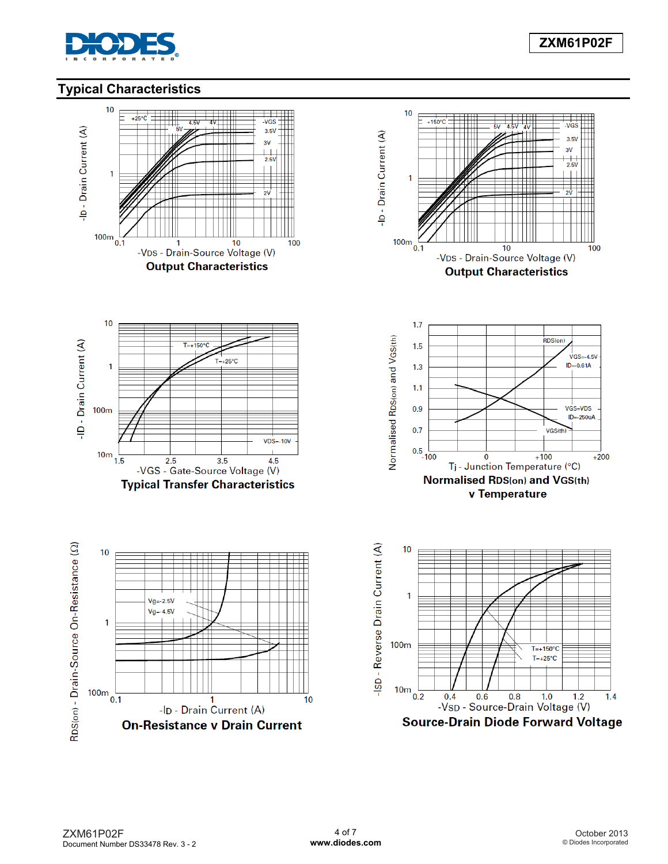

# **Typical Characteristics**

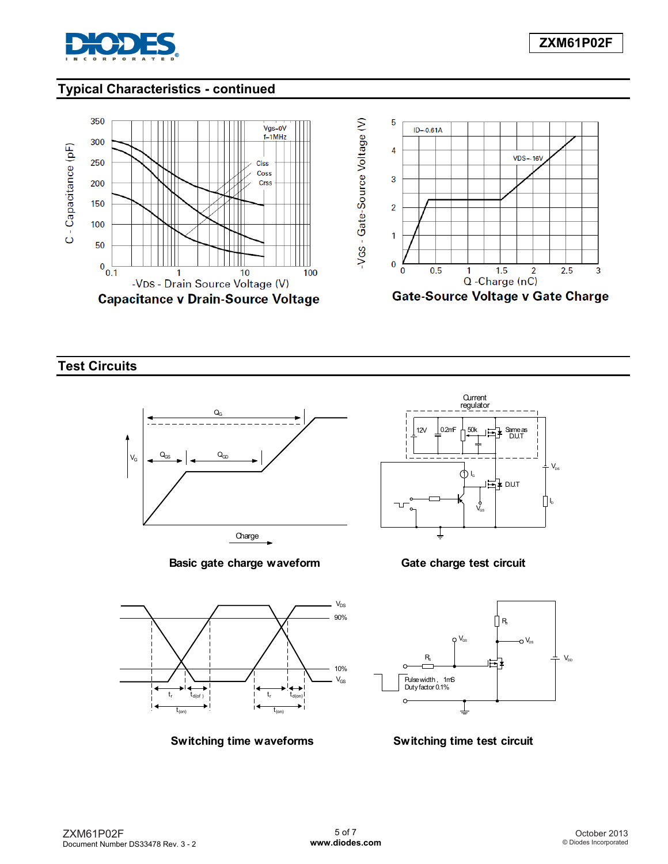

## **Typical Characteristics - continued**



**Test Circuits** 



**Basic gate charge waveform**



**Gate charge test circuit**



**Switching time waveforms**



**Switching time test circuit**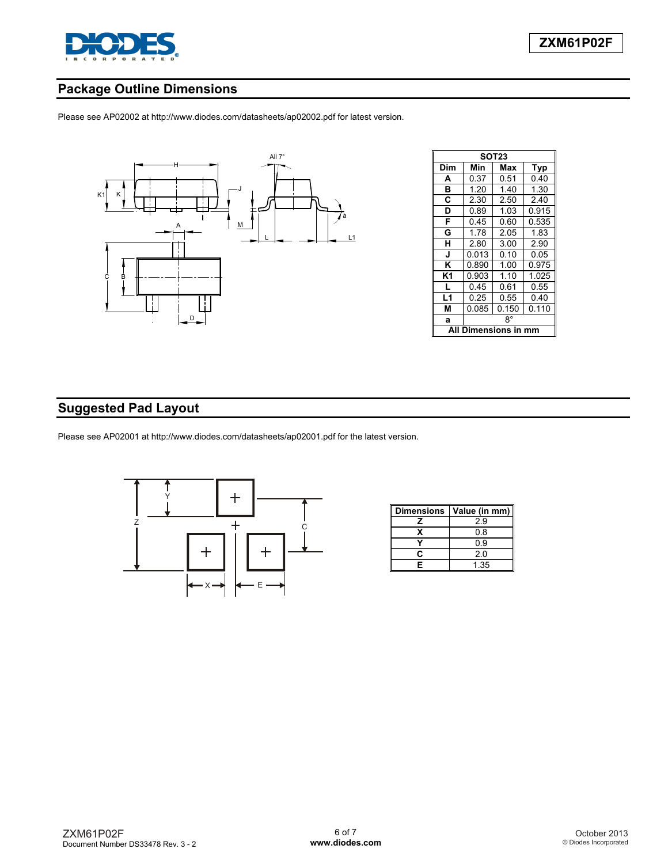

## **Package Outline Dimensions**

Please see AP02002 at [http://www.diodes.com/datasheets/ap02002.pdf fo](http://www.diodes.com/datasheets/ap02002.pdf)r latest version.



| SOT23 |                      |       |       |  |  |
|-------|----------------------|-------|-------|--|--|
| Dim   | Min                  | Max   | Typ   |  |  |
| A     | 0.37                 | 0.51  | 0.40  |  |  |
| B     | 1.20                 | 140   | 1.30  |  |  |
| C     | 2.30                 | 2.50  | 2.40  |  |  |
| D     | 0.89                 | 1.03  | 0.915 |  |  |
| F     | 0.45                 | 0.60  | 0.535 |  |  |
| G     | 1.78                 | 2.05  | 1.83  |  |  |
| н     | 2.80                 | 3.00  | 2.90  |  |  |
| J     | 0.013                | 0.10  | 0.05  |  |  |
| Κ     | 0.890                | 1.00  | 0.975 |  |  |
| K1    | 0.903                | 1.10  | 1.025 |  |  |
| L     | 0.45                 | 0.61  | 0.55  |  |  |
| L1    | 0.25                 | 0.55  | 0.40  |  |  |
| М     | 0.085                | 0.150 | 0.110 |  |  |
| a     | R۰                   |       |       |  |  |
| Αll   | <b>Dimensions in</b> |       |       |  |  |

## **Suggested Pad Layout**

Please see AP02001 at [http://www.diodes.com/datasheets/ap02001.pdf fo](http://www.diodes.com/datasheets/ap02001.pdf)r the latest version.



| <b>Dimensions</b> | Value (in mm) |
|-------------------|---------------|
|                   | 2.9           |
| x                 | 0.8           |
|                   | 0.9           |
| r.                | 2.0           |
| F                 | 1.35          |